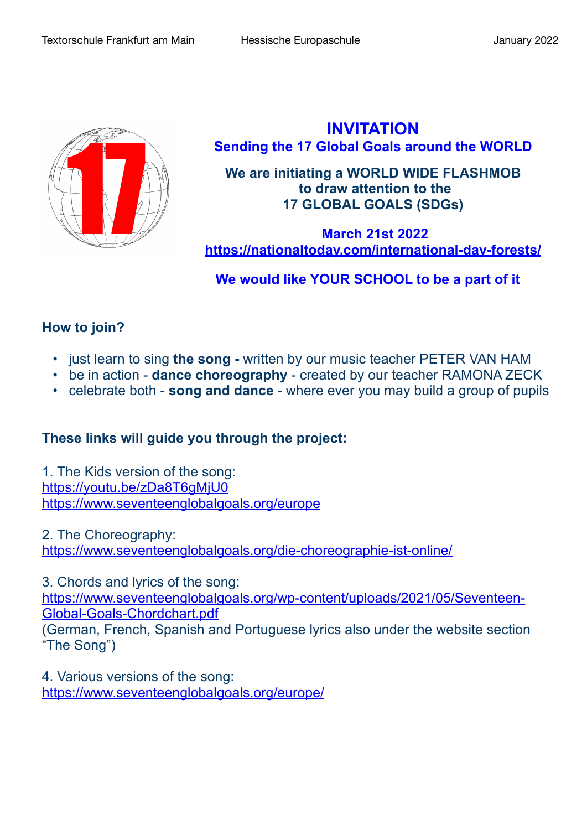

**INVITATION Sending the 17 Global Goals around the WORLD**

**We are initiating a WORLD WIDE FLASHMOB to draw attention to the 17 GLOBAL GOALS (SDGs)**

 **March 21st 2022 <https://nationaltoday.com/international-day-forests/>**

## **We would like YOUR SCHOOL to be a part of it**

## **How to join?**

- just learn to sing **the song** written by our music teacher PETER VAN HAM
- be in action **dance choreography** created by our teacher RAMONA ZECK
- celebrate both **song and dance** where ever you may build a group of pupils

## **These links will guide you through the project:**

1. The Kids version of the song: <https://youtu.be/zDa8T6gMjU0> <https://www.seventeenglobalgoals.org/europe>

2. The Choreography: <https://www.seventeenglobalgoals.org/die-choreographie-ist-online/>

3. Chords and lyrics of the song:

[https://www.seventeenglobalgoals.org/wp-content/uploads/2021/05/Seventeen-](https://www.seventeenglobalgoals.org/wp-content/uploads/2021/05/Seventeen-Global-Goals-Chordchart.pdf)[Global-Goals-Chordchart.pdf](https://www.seventeenglobalgoals.org/wp-content/uploads/2021/05/Seventeen-Global-Goals-Chordchart.pdf)

(German, French, Spanish and Portuguese lyrics also under the website section "The Song")

4. Various versions of the song: <https://www.seventeenglobalgoals.org/europe/>